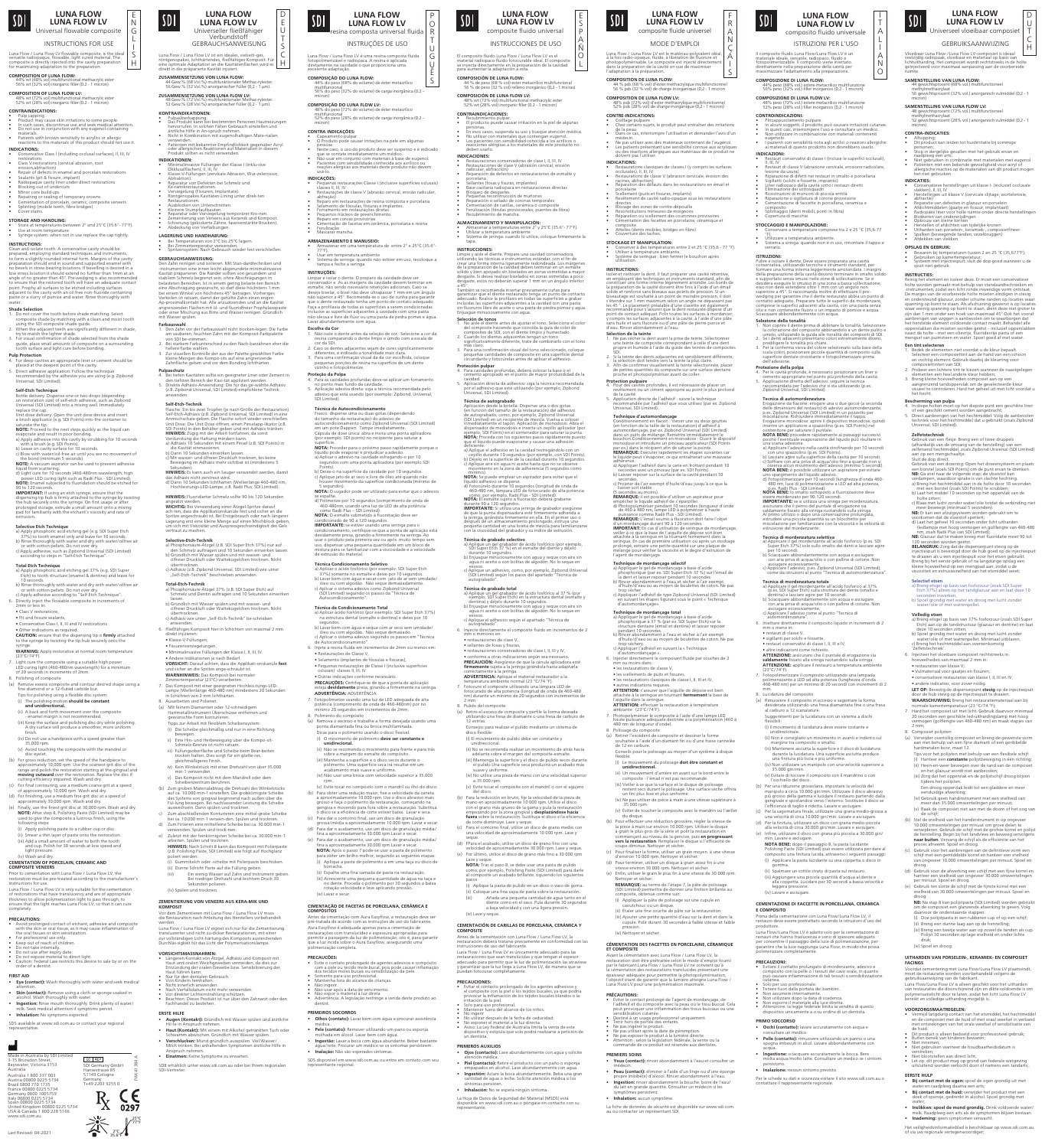Luna Flow / Luna Flow LV flowable composite, is the ideal versatile radiopaque, flowable, light cured material. The composite is directly injected into the cavity preparation for maximizing adaptation to the preparation.

# **COMPOSITION OF LUNA FLOW:** 44% wt (68% vol) multifunctional methacrylic ester 56% wt (32% vol) inorganic filler (0.2 - 1 micron)

- **INDICATIONS:** tive Class I (including occlusal surfaces), II, III, IV estorations
- Class V restorations (cervical abrasion, root
- erosion,abtraction)<br>• Repair of defects in enamel and porcelain restorations<br>• Sealants (pit & fissure, implant)<br>• Radiopaque cavity liner under direct restorations<br>• Blocking out of undercuts
- 
- 
- Minor core build ups<br>• Repairing or sealing of temporary crowns<br>• Cementation of porcelain, ceramic, composite veneers<br>• Splinting (mobile teeth, fibre bridges)<br>• Cover stains.
- 

**STORAGE AND HANDLING:**<br>• Store at temperatures between 2° and 25°C (35.6°- 77°F).<br>• Use at room temperature<br>• Syringe system: when not in use replace the cap tightly.

**COMPOSITION OF LUNA FLOW LV:** 48% wt (72% vol) multifunctional methacrylic ester 52% wt (28% vol) inorganic filler (0.2 - 1 micron)

# **CONTRAINDICATIONS:**

• Pulp capping. • Product may cause skin irritations to some people. • In such cases, discontinue use and seek medical attention. • Do not use in conjunction with any eugenol-containing materials. • Patients with known sensitivity to acrylics or allergic reactions to the materials of this product should not use it.

- asing the 3D composite shade galac.<br>When the adjacent teeth are significantly different in shade, try to match the lighter shade.<br>3. For visual confirmation of share ighter shade:<br>iation of shade selected from the shade guide, place small amounts of composite on a surrounding
- tooth surface and light cure before bonding. **Pulp Protection**

## For deep cavities an appropriate liner or cement should be

## **INSTRUCTIONS:**

Clean and isolate tooth. A conservative cavity should be prepared, employing standard techniques and instruments, to form a slightly rounded internal form. Margins of the cavity preparation should end in sound and supported enamel with no bevels in stress bearing locations. If bevelling is desired in a low stress location it should extend no further than 1mm at an angle of no greater than 45°. Pre-wedging is also recommended to ensure that the restored tooth will have an adequate contact point. Prophy all surfaces to be etched including surfaces adjacent to the cavity with an oil free non-fluoride containing paste or a slurry of pumice and water. Rinse thoroughly with

## water. **Shade Selection**

1. Do not cover the tooth before shade matching. Select composite shade by matching with a clean and moist tooth using the SDI composite shade guide.

**Total Etch Technique**<br>a) Apply phosphoric acid etching gel 37% (e.g. SDI Super<br>Etch) to tooth structure (enamel & dentine) and leave for<br>10 seconds. b) Rinse thoroughly with water and dry with water/oilfree air or with cotton pellets. Do not over dry. c) Apply adhesive according to "Self Etch Technique".

• Other indications as required. **CAUTION:** ensure that the dispensing tip is **firmly** attached the syringe by twisting the tip hub sec

syringe.<br>**WARNING:** Apply restorative at normal room temperature

placed at the deepest point of the cavity. 5. Direct adhesive application: Follow the technique recommended by the adhesive you are using (e.g. Zipbond Universal, SDI Limited).

**Self-Etch Technique**<br>Bottle delivery: Dispense one or two drops (depending<br>on restoration size) of self-etch adhesive, such as Zipbond<br>Universal (SDI Limited) into a mixing well. Immediately

replace the cap. Unit dose delivery: Open the unit dose device and insert a brush applicator (e.g. SDI Points) into the container to saturate the tip.

- 
- 

**NOTE:** Proceed to the next steps quickly as the liquid can<br>evaporate and result in poor bonding.<br>a) Apply adhesive into the cavity by scrubbing for 10 seconds<br>with a brush (e.g. SDI Points).<br>b) Leave on cavity surface for

Prior to cementation with Luna Flow / Luna Flow LV, the restoration must be pre-treated according to the manufacturer's . . . . . . .<br>instructions for use

Luna Flow / Luna Flow LV is only suitable for the cementation of restorations that have translucency and are of appropriate thickness to allow polymerization light to pass through, to ensure that the light reaches Luna Flow LV, so that it can cure completely.

- Avoid prolonged contact of etchant, adhesive and composite with the skin or oral tissue, as it may cause inflammation of e oral tissues or skin sensitizatio
- 
- 
- 
- 
- For professional use only.<br>• Keep out of reach of children.<br>• Do not tuse after expiry date.<br>• Do not use after expiry date.<br>• Do not expose material to direct light.<br>• Guttion: Federal Law restricts this device to sale

d) Light cure for 10 seconds (460-480nm wavelength, high power LED curing light such as Radii Plus - SDI Limited). **NOTE:** Enamel subjected to fluoridation should be etched for

90 to 120 seconds.<br>**IMPORTANT:** If using an etch syringe, ensure that the<br>dispensing tip hub is firmly attached to the syringe by twisting<br>the hub securely onto the syringe. On first usage or after<br>prolonged storage, extru

Selective Etch Technique<br>
Selective Etching gel (e.g. SDI Super Etch<br>
37%) to tooth enamel only and leave for 10 seconds<br>
37%) to tooth enamel only and leave for 10 seconds<br>
b) Rinse throughly with water and dry with<br>
or w

6. Directly inject the flowable composite in increments of 2mm or less in: • Class V restorations,

• Pit and fissure sealants, • Conservative Class I, II, III and IV restorations

(23°C/74°F). 7. Light cure the composite using a suitable high power LED curing light (460-480nm wavelength) for a minimum of 20 seconds in increments of 2mm.

Polishing of composite

(a) Remove excess composite and contour desired shape using a fine diamond or a 12-fluted carbide bur. Tips for polishing using a flexible disc system:

(i) The polishing motion **should be constant and unidirectional.**

(ii) A back and forth movement over the composite - enamel margin is not recommended. (iii) Keep the surface and polishing disc dry while polishing.

A dry surface will produce a smoother, more uniform

- finish. (iv) Do not use a handpiece with a speed greater than 35,000 rpm.
- (v) Avoid touching the composite with the mandrel or disc eyelet.
- (b) For gross reduction, set the speed of the handpiece to<br>approximately 10,000 rpm. Use the coarsest grit disc of the<br>range and polish the restoration starting at the gingival and<br>**moving outward** over the restoration. Re
- (c) For final contouring, use a medium coarse grit at a speed of approximately 10,000 rpm. Wash and dry.
- (d) For finishing, use a medium fine grit disc at a speed of approximately 30,000 rpm. Wash and dry. (e) Finally, use the finest grit disc at 30,000 rpm. Wash and dry.
- **NOTE:** After step 8, Polishing Paste (SDI Limited) may be used to give the composite a lustrous finish, using the following steps:
- (i) Apply polishing paste to a rubber cup or disc.
- (ii) Smear a thin layer of paste onto the restoration. (iii) Add a small amount of water to both the tooth and cup. Polish for 30 seconds at low speed and light pressure.

# (iv) Wash and dry. **CEMENTATION OF PORCELAIN, CERAMIC AND COMPOSITE VENEERS**

## **PRECAUTIONS:**

## **FIRST AID**

- **Eye (contact):** Wash thoroughly with water and seek medical attention.
- **Skin (contact):** Remove using a cloth or sponge soaked in alcohol. Wash thoroughly with water.
- **Ingestion:** Rinse mouth thoroughly. Drink plenty of water/ milk. Seek medical attention if symptoms persist.
- **Inhalation:** No symptoms expected.

SDS available at www.sdi.com.au or contact your regional representative.

Voordat cementering met Luna Flow/Luna Flow LV plaatsvindt,<br>moet de restauratie worden voorbehandeld volgens de<br>gebruiksaanwijzing van de fabrikant.<br>Luna Flow/Luna Flow LV is alleen geschikt voor het uitharden van restauraties die doorschijnend zijn en dikte voldoende is om polymerisatielicht door te laten, zodat het licht Luna Flow LV

Vloeibaar Luna Flow-/Luna Flow LV-composiet is ideaal veelzijdig radiopaak, vloeibaar en materiaal op basis van lichtuitharding. Het composiet wordt rechtstreeks in de holte geïnjecteerd voor maximaal aanpassing aan de voorbereide ruimte.

**SAMENSTELLING VAN LUNA FLOW:** 44 gewichtsprocent (68% vol.) multifunctioneel

• **Bij contact met de ogen:** spoel de ogen grondig uit met rna een arts; **• Bij contact met de huid:** verwijder het product met een doek of sponsje, gedrenkt in alcohol. Spoel grondig met

elk. Raadpleeg een arts als de symptomen blijven bestaan.

methylmethacrylaat 56 gewichtsprocent (32% vol.) anorganisch vulmiddel (0,2 - 1 micron)

GEBRUIKSAANWIJZING | H

**SAMENSTELLING VAN LUNA FLOW LV:** 48 gewichtsprocent (72% vol.) multifunctioneel methylmethacrylaat 52 gewichtsprocent (28% vol.) anorganisch vulmiddel (0,2 - 1

micron) **CONTRA-INDICATIES:**

SDI

• Aftopping; • Dit product kan leiden tot huidirritatie bij sommige personen;<br>Stop in dergelijke gevallen met het gebruik ervan en raadpleeg een arts; • Niet gebruiken in combinatie met materialen met eugenol. • Patiënten met een bekende gevoeligheid voor acryl of allergische reacties op de materialen van dit product mogen het niet gebruiken.

**INDICATIES:**<br>• Conservatieve herstellingen uit klasse I- (inclusief occlusale<br>• Herstellingen uit klasse V (cervicale slijtage, wortelerosie,<br>• Herstellingen uit klasse V (cervicale slijtage, wortelerosie,

• Reparatie van defecter in glazuur en porselein<br>• Afdichtmiddelen (gaatje en fissuur, implantaat)<br>• Radiopake liner voor holle ruimte onder directe herstellingen<br>• Opbouw van kleine kernen<br>• Herstellen of afdichten van ti

**COMPOSITION DE LUNA FLOW:**<br>44 % pds (68 % vol) d'ester méthacrylique multifonctionnel<br>56 % pds (32 % vol) de charge inorganique (0,2 - 1 micron **COMPOSITION DE LUNA FLOW LV:**<br>COMPOSITION DE LUNA *d'aster méthacrylique multifo* 48% pds (72% vol) d'ester méthacrylique multifonctionnel 52% pds (28% vol) de charge inorganique (0,2 - 1 micron)

• Restaurations classiques de classes I (y compris les surfaces occlusales), II, III, IV • Restaurations de classe V (abrasion cervicale, érosion des racines, abfraction)<br>éparation des défauts dans les restaurations en émail et reporcelaine<br>porcelaine<br>Scellement (puits et fissures, implants)<br>Revêtement de cavité radio-opaque sous les restaurations

Blocage des zones de contre-dépouille<br>Reconstitutions mineures de moignons<br>Réparation ou scellement des couronnes provisoire<br>Cémentation des facettes en porcelaine, céramiqu

**STOCKAGE ET MANIPULATION:**<br>
Conserver à des températures entre 2 et 25 °C (35,6 - 77 °F). • Conserver à des températures entre 2 et 25 °C (35,6 - 77 °F). • Utiliser à température ambiante. • Système de seringue : bien fermer le bouchon après utilisation.

I**noc Hons:**<br>Ir et nettoyer la dent. Il faut préparer une cavité rétentive,<br>Imployant des techniques et instruments standard, afin de

en employant des techniques et instruments standard, afin de<br>constituer une forme interne légèrement arrondie. Les bords de<br>la préparation de la cavité doivent être finis à l'aide d'un émail<br>solide et renforcé sans biseaux

recommandé pour s'assurer que la dent restaurée dispose d'un<br>point de contact adéquat. Polir toutes les surfaces à mordancer,<br>y compris les surfaces adjacentes à la cavité, à l'aide d'une pâte<br>sans huile et sans fluorure o

• Spalken (bewegende tanden, vezelbruggen) • Afdekken van vlekken.

**OPSLAG EN GEBRUIK:** 

• Bewaren bij temperaturen tussen 2 en 25 °C (35,677°F); • Gebruiken op kamertemperatuur; • Systeem met injectiespuit: sluit de dop goed wanneer u de

Reinig het element en isoleer deze. Er moet een conservatieve<br>holte worden gemaakt met behulp van standaardtechnieken en<br>-instrumenten, zodat een licht ronde inwendige vorm ontstaat.<br>De marges van de voorbereide holte moet

en ondersteund glazuur, zonder schuine randen op locaties waar<br>spanning op komt te staan. Als afschuining gewenst is op locaties<br>waar weinig spanning op komt te staan, dient deze niet groter te<br>zijn dan 1 mm onder een hoek

aanbrengen van wiggen is aanbevolen om te waarborgen dat<br>het herstelde element voldoende contact maakt. Behandel alle<br>oppervlakken die moeten worden geëtst – inclusief oppervlakken<br>naast de holte – met een olievrije, fluor

Selecter een composieitint aan de hand van een schoon<br>en vochtig element. Gebruik daarbij de kleurring voor<br>composieitinten van SDI;<br>2. Probeer een lichtere tint te kiezen wanneer de naastgelegen<br>elementen een heel andere

**Bescherming van pulpa**<br>A. In diepe holten moet op het diepste punt een geschikte liner<br>of een geschikt cement worden aangebracht;<br>5. Direct aanbrengen van het hechtmiddel: Volg de aanbevolen<br>techniek voor het hechtmiddel

Zelfetstechniek<br>Cebruik van een flesje: Breng een of twee druppels<br>Gebruik van een flesje: Breng een of twee druppels<br>(afhankelijk van de omvang van de herstelling) van een<br>Suid de dop direct.<br>Suid de op direct.<br>Suid de op

**INSTRUCTIES:**

**Protection pulpaire<br>4. Pour des cavités profondes, il est nécessaire de placer un<br>revêtement ou un ciment approprié au point le plus profond<br>de la cavité** 5. Application directe de l'adhésif : suivre la technique recommandée par l'adhésif que vous utilisez (par ex. Zipbond Universal, SDI Limited).. **Technique d'automordançage** Conditionnement en flacon : Verser une ou deux gouttes (en fonction de la taille de la restauration) d'adhésif à automordançage, par ex. Zipbond Universal (SDI Limited) dans un puits de mélange. Remettre immédiatement le

**Een tint selecteren**

nsueer te<br>hecht.

1. Bedek de elementen niet voordat u de kleur bepaalt.

**Technique de mordançage sélectif<br>a) Appliquer le gel de mordançage à base d'acide<br>phosphorique (par ex. SDI Super Etch 37 %) sur l'émail de<br>la dent et laisser reposer pendant 10 secondes<br>b) Rincer abondamment à l'eau et s** d'huile/d'eau ou au moyen de boulettes de coton. Ne pas trop sécher. c) Appliquer l'adhésif de type Zipbond Universal (SDI Limited) en suivant les étapes figurant sous le point « Technique d'automordançage».

a) Appliquer le gel de mordançage à base d'acide<br>phosphorique à 37 % (par ex. SDI Super Etch) sur la<br>structure dentaire (émail et dentine) et laisser reposer<br>pendant 10 secondes.<br>b) Rincer abondamment à l'eau et sécher à l d'huile/d'eau ou au moyen de boulettes de coton. Ne pas rop séchery.<br>\ppliquer l'adhésif en suivant la « Technique c) Appliquer l'adhésif en suivant la « Technique d'automordançage ». 6. Injecter directement le composant fluide par couches de 2 mm ou moins dans:

c) Blaas met lucht zonder water/olie totdat de verbinding niet

meer beweegt (minimaal 5 seconden).<br>**NB:** Er kan een afzuigsysteem worden gebruikt om te voorkomen dat de vloeistof spettert;<br>d) Laat het geheel 10 seconden onder licht uitharden<br>(leddampje met hoog vermogen en golflengte

120 seconden worden geëtst.<br>**BELANGRIJK:** Zorg dat de dispenserpunt stevig op de injectiespuit is bevestigd door de hub goed op de injectiespuit<br>te draaien als u een injectiespuit voor het etsen gebruik.<br>Berag bij het eers

(ii) Étaler une fine couche de pâte sur la restauration (iii) Ajouter une petite quantité d'eau sur la dent et dans la cupule. Polir durant 30 secondes à faible vitesse et faible **Selectief etsen**

:hniek'.

a) Breng etsgel op basis van fosforzuur (zoals SDI Super Etch 37%) alleen op het tandglazuur aan en laat deze 10 seconden inwerken; b) Spoel grondig met water en droog met lucht zonder water/olie of met wattenpellet.

**Volledig etsen**<br>a) Breng etsgel op basis van 37% fosforzuur (zoals SDI Super<br>Etch) aan op de tandstructuur (glazuur en dentine) en laat

deze 10 seconden zitten; b) Spoel grondig met water en droog met lucht zonder water/olie of met wattenpellet. Minimaal uitblazen. c) Breng het hechtmiddel aan overeenkomstig

• **Yeux (contact):** rincer abondamment à l'eau et consulter un médecin. • **Peau (contact):** éliminer à l'aide d'un linge ou d'une éponge propre imbibé(e) d'alcool. Rincer abondamment à l'eau. • **Ingestion:** rincer abondamment la bouche. boire de l'eau/ lait en grande quantité. Consulter un médecin si les

es nersis • **Inhalation:** aucun symptôme. 6. Injecteer het vloeibare composiet rechtstreeks in hoeveelheden van maximaal 2 mm in: • restauraties van klasse V; • Vulmateriaal voor gaatjes en fissuren; • conservatieve restauraties van klasse I, II, III en IV; • andere indicaties, voor zover nodig.

**LET OP:** Bevestig de dispenserpunt **stevig** op de injectiespuit door de hub stevig op de injectiespuit te draaien. **WAARSCHUWING:** Breng het restauratiemateriaal aan bij normale kamertemperatuur (23 °C/74 °F);

• Capeamento pulpar • O Produto pode causar irritações na pele em algumas pessoas<br>Neste caso, o uso do produto deve ser suspenso e é indicado

que se contate imediatamente um médico.<br>• Não usar em conjunto com materiais à base de eugenol.<br>• Pacientes com sensibilidade conhecida aos acrílicos ou<br>reações alérgicas aos materiais deste produto não devem<br>usá-lo.

7. Hard het composiet uit met licht. Gebruik daarvoor minimaal 20 seconden een geschikte led-uithardingslamp met hoog vermogen (golflengte van 460-480 nm) en maak stapjes van 2 mm;

8. Composiet polijsten

(a) Verwijder overtollig composiet en breng de gewenste vorm aan met behulp van een fijne diamant of een geribbelde hardmetalen boor, maat 12. Tips voor het polijsten met behulp van een flexibele schijf: (i) Hanteer een **constante** polijstbeweging in één richting; (ii) Heen-en-weer bewegen over de rand van de composiet en het glazuur wordt niet aanbevolen; (iii) Zorg dat het oppervlak en de polijstschijf droog blijven

Een droog oppervlak leidt tot een gladdere en meer eenduidige afwerking; (iv) Gebruik geen handinstrument met een snelheid van meer dan 35.000 omwentelingen per minuut; (v) Raak de composiet niet aan met de doorn of het oog van

de schijf;

roog.

**Proteção da Polpa Pulpaschutz**<br>4. Bei tiefen Kavitäten sollte ein geeigneter Liner oder Zement in 4. Bei tiefen Kavitäten sollte ein geeigneter Liner oder Zement in<br>den tiefsten Bereich der Kavi-tät appliziert werden.<br>5. Direkte Adhäsiv-Anwendung: Die für das ge-wählte Adhäsiv<br>2.B. Zipbond Universal, SDI Limited) empfo

10.000 omwentelingen per minuut om grove delen te verwijderen. Gebruik de schijf met de grofste korrel en polijst

de herstelling. Begin bij het tandvlees en beweeg vervolgens<br> **naar buite**n. Vervang de schijf als de efficiëntie van het<br>
proces afneemt. Spoel en droog.<br>
(c) Gebruik voor het aanbrengen van de definitieve vorm een<br>
schij

(d) Gebruik voor de afwerking een schijf met een fijne korrel en anteer een snelheid van ongeveer 30.000 om per minuut. Spoel en droog. (e) Gebruik ten slotte de schijf met de fijnste korrel met een snelheid van 30.000 omwentelingen per minuut. Spoel en

no Radii Plus – SDI Limited). **NOTA:** O esmalte submetido à fluoretação deve ser do de 90 a 120 segundos. **IMPORTANTE:** se estiver usando uma seringa para o condicionamento, certifique-se que a ponta de aplicação está devidamente presa, girando-a firmemente na seringa. Ao usar o produto pela primeira vez ou após muito tempo sem uso, dispensar uma pequena quantidade em um bloco de mistura para se familiarizar com a viscosidade e a velocidade

> **NB:** Na stap 8 kan polijstpasta (SDI Limited) worden gebruikt om de composiet een glanzende afwerking te geven. Volg daarvoor de onderstaande stappen: (i) Doe polijstpasta in een rubberen cup of op een schijf; (ii) Breng een dunne laag aan op de herstelling;

(iii) Breng een beetje water aan op zowel de tanden als cup. Polijst 30 seconden op lage snelheid en onder lichte druk;

(iv) Spoel en droog.

**UITHARDEN VAN PORSELEIN-, KERAMIEK- EN COMPOSIET** 

**FACINGS**

(a) Remova o excesso e trabalhe a forma desejada usando uma ponta diamantada fina ou broca mu

> bereikt en volledige uitharding mogelijk is. **VOORZORGSMAATREGELEN:**

(b) Stel de snelheid van het handinstrument in op onge

• Vermijd langdurig contact van het etsmiddel, het hechtmiddel en de composiet met de huid of met oraal weefsel in verband met ontstekingen van het orale weefsel of sensibilisatie van

Dit product is alleen bedoeld voor professioneel gebruik;<br>Buiten bereik van kinderen bewaren;<br>Niet innemen;<br>Niet gebruiken wanneer de houdbaarheidsdatum is

verstreken;<br>• Niet blootstellen aan direct licht;<br>• Let op: dit product mag op grond van federale wetgeving<br>uitsluitend worden verkocht door of namens een tandarts;.

de huid.

**EERSTE HULP**

Antes da cimentação com Aura Easyflow, a restauração deve ser pré-tratada de acordo com as instruções de uso do fab Aura Easyflow é adequada apenas para a cimentação de restaurações com translucidez e espessura apropriadas para<br>permitir a passagem da luz de polimerização, isto é, para garantir<br>que a luz incida sobre o Aura Easyflow, assegurando uma rização completa

water;

tijdens de versken.<br>Ins het polijster

systeem met injeer<br>spuit niet gebruik.

**• Inademing:** geen symptomen verwacht.

Het veiligheidsinformatieblad is beschikbaar op www.sdi.com.au of via uw regionale vertegenwoordiger;

**• Inslikken: spoel de mond grondig.** Drink voldo

Luna Flow / Luna Flow LV est le matériau polyvalent idéal, à la fois radio-opaque, fluide, à libération de fluorure et photopolymérisable. Le composite est injecté directement dans la préparation de la cavité en vue de maximiser l'adaptation à la préparation.

El composite fluido Luna Flow / Luna Flow LV es el<br>material radiopaco fluido fotocurable ideal. El composite<br>se inyecta directamente en la preparación de la cavidad<br>para aumentar la adaptación a esta. **COMPOSICIÓN DE LUNA FLOW:** 44 % de peso (68 % vol) ester metacrílico multifuncional 56 % de peso (32 % vol) relleno inorgánico (0,2 - 1 micras)

**CONTRE-INDICATIONS:**

- **CONTRAINDICACIONES:** • Recubrimiento pulpar. • El producto puede causar irritación en la piel de algunas
- ersonas.<br>• En esos casos, suspenda su uso y busque atención médica.<br>• No utilizar con materiales que contengan eugenol.<br>• Los pacientes con sensibilidad conocida a los acrílicos o<br>reacciones alérgicas a los materiales de e

porteriaria<br>concellantes (fosas y físuras, implantes)<br>Sellantes (fosas y físuras, implantes)<br>Bloqueo de desgastes<br>Pequeñas reconstrucción de muñones<br>Reparación o ellado de coronas temporales<br>Cementación de carillas, cerámi

• Coiffage pulpaire • Chez certains sujets, le produit peut entraîner des irritations de la peau. • Dans ce cas, interrompre l'utilisation et demander l'avis d'un médecin.<br>Ne pas utiliser avec des matériaux contenant de l'eugénol. • Ne pas utiliser avec des matériaux contenant de l'eugénol. • Les patients présentant une sensibilité connue aux acryliques ou des réactions allergiques aux matériaux de ce produit ne doivent pas l'utiliser.

**INDICATIONS:**

SD

**ALMACENAMIENTO Y MANIPULACIÓN:**  Almacenar a temperaturas entre 2° y 25°C (35.6°- 77°F).<br>Utilizar a temperatura ambiente<br>Sistema de jeringa: cuando lo utilice, coloque firmemente la

**INSTRUCTIONS:**

**Sélection de la teinte** 1. Ne pas sécher la dent avant la prise de teinte. Sélectionner une teinte de composite correspondant à celle d'une dent propre et humide à l'aide du guide des teintes de composites

SDI.<br>2. Isla teinte des dents adjacentes est sensiblement différente.<br>2. Isla sélection doit tendre vers la teinte la plus claire.<br>3. Afin de confirmer visuellement la teinte sélectionnée, placer<br>de petites quantités du co

bouchon.Conditionnement en monodose : Ouvrir le dispositif

• Attelles (dents mobiles, bridges en fibre)<br>• Couverture des taches.

monodose et introduire un pinceau applicateur (SDI Points par ex.) dans le récipient afin de saturer la pointe. **REMARQUE:** Exécuter rapidement les étapes suivantes car le liquide peut s'évaporer, ce qui entraînerait une mauvaise adhérence. a) Appliquer l'adhésif dans la carie en frottant pendant 10 secondes avec un pinceau (par ex. SDI Points). b) Laisser reposer sur la surface de la cavité pendant 10 secondes. c) Projeter de l'air exempt d'huile/d'eau jusqu'à ce que la

liaison soit stable<br>(5 secondes au moins).<br>**REMARQUE:** il est possible d'utiliser un aspirateur pour<br>empêcher le liquide adhésif de s'éparpiller.<br>(d) Photopolymériser pendant 10 secondes (longueur d'onde<br>de 460 à 480 nm, l

veiller à ce que la base de l'aiguille de dépose soit bien<br>attachée à la seringue en la tournant fermement dans la<br>seringue. En cas de première utilisation ou après un stockage<br>prolongé, extraire une petite quantité sur un

Antes de la cementación con Luna Flow / Luna Flow LV, la<br>restauración deberá tratarse previamente en conformidad con las restauración deberá tratarse previam istrucciones de uso del fabricante. Luna Flow / Luna Flow LV es únicamente adecuado para las

• Solo para uso profesional.<br>• Mantener fuera del alcance de los niños.<br>• No utilizar después de la fecha de caducidad.<br>• No exponer el material a la luz directa.<br>• Aviso: La Ley Federal de Australia limita la venta de est un dentista.

• **Ojos (contacto):** Lave abundantemente con agua y solicite atención médica. • **Piel (contacto):** Retire el producto con un paño o esponja os en alcohol. Lave abundantem

**Technique de mordançage total**

- Pulpaüberkappung.<br>• Das Produkt kann bei bestimmten Personen Hautreizungen<br>• hervorrufen. In solchen Fällen Gebrauch einstellen und<br>• Nicht in Kombination mit eugenolhaltigen Mate-rialien<br>• Nicht in Kombination mit eugen
- verwenden. Patienten mit bekannter Empfindlichkeit gegenüber Acryl
- oder allergischen Reaktionen auf Materialien in diesem<br>Produkt sollten es nicht verwenden.
- **INDIKATIONEN:** • Minimalinvasive Füllungen der Klasse I (inklu-sive Okklusalflächen), II, III, IV. • Klasse-V-Füllungen (zervikale Abrasion, Wur-zelerosion,
	-
	- Abfraktion).<br>Reparatur von Defekten bei Schmelz und
- Reparatur von Defekten bei Schmelz und Ke-ramikrestaurationen. Versiegelung (Fissuren, Implantate). Röntgenopakes Kavitäten-Lining unter direk-ten
- 
- Restaurationen.<br>• Ausblocken von Unterschnitten.<br>• Kleinere Stumpfaufbauten<br>• Reparatur oder Versiegelung temporärer Kro-nen.<br>• Zementierung von Veneers aus Keramik und Komposit.<br>• Abdeckung von Verfärbungen.<br>• Abdeckung
- **LAGERUNG UND HANDHABUNG:**

• les restaurations de classe V, • les scellements de puits et fissures,

• les restaurations classiques de classe I, II, III et IV, • autres indications requises. **ATTENTION:** s'assurer que l'aiguille de dépose est bien attachée à la seringue en tournant **fermement** la base de<br>l'aiguille dans la seringue. **ATTENTION:** effectuer la restauration à température

ambiante (23°C/74°F).

de 12 en car

7. Photopolymériser le composite à l'aide d'une lampe LED haute puissance adéquate destinée à la polymérisation (460 à 480 nm de longueur d'onde). 8. Polissage du composite (a) Retirer l'excédent de composite et dessiner la forme souhaitée à l'aide d'un diamant fin ou d'une fraise cannelée

- im sauberen, feuchten Zahn mit der Komposit-Farbpalett<br>ron SDI be-stimmen. on SDI be-stim 2. Bei starkem Farbunterschied zu den Nach-barzähnen eher die ellere Farbe wählen.
- 2. Caso os dentes adjacentes sejam de cores significantemente diferentes, é indicado a tonalidade mais clara. 3. Para uma confirmação visual da da cor escolhida, coloque 3. Zur visuellen Kontrolle der aus der Palette gewählten Farbe kleine Mengen des Kompo-sits auf eine angrenzende Zahnfläche geben und vor dem Bonding lichthärten.

Conseils pour le polissage au moyen d'un système à disque

## **Self-Etch-Technik** e: Ein bis zwei Tropfen (je nach Größe der Restauration)

flexible.

Self-Etch-Adhäsiv (z.B. Zipbond Universal, SDI Limited) in eine Anmischschale geben. Die Flasche sofort wieder verschließen. Unit Dose: Die Unit Dose öffnen, einen Pinselapp-likator (z.B. SDI Points) in den Behälter geben und mit Adhäsiv tränken.<br>**HINWEIS:** Zügig mit der Arbeit fortfahren, da sonst<br>Verdunstung die Haftung mindern kann.<br>a) Adhäsiv 10 Sekunden mit einem Pinsel (z.B. SDI Points) in

> (iii) Veiller à ce que la surface et le disque de polissage restent secs durant le polissage. Une surface sèche offrira un fini plus lisse et plus uniforme. (iv) Ne pas utiliser de pièce à main à une vitesse supérieure à

.35 000 rpm.

coupe diminue. Nettoyer et sécher.

ppinger in persons point

Luna Flow LV pour une polymérisation maxima

(v) Éviter de toucher le composite avec le mandrin ou l'œillet du disque. (b) Pour effectuer une réduction grossière, régler la vitesse de la pièce à main sur environ 10 000 rpm. Utiliser le disque à grain le plus gros de la série et polir la restauration en

c) Adhäsiv (z.B. Zipbond Universal, SDI Limited) wie unter "Self-Etch-Technik" beschrieben anwende

> commençant au niveau de la gencive, puis **en progressant vers la restauration**. Remplacer le disque si l'efficacité de

(c) Pour finaliser la forme, utiliser un grain moyen à une vitesse d'environ 10 000 rpm. Nettoyer et sécher. (d) Pour terminer, utiliser un disque à grain assez fin à une vitesse environ 30 000 rpm. Nettoyer et sécher. (e) Enfin, utiliser le grain le plus fin à une vitesse de 30 000 rpm. Nettoyer et sécher. **REMARQUE:** au terme de l'étape 7, la pâte de polissage (SDI Limited) permettra de donner une finition brillante au composite, obtenue comme suit: (i) Appliquer la pâte de polissage sur une cupule en

7. Das Komposit mit einer geeigneten Hochleis-tungs-LED-Lampe (Wellenlänge 460-480 nm) mindestens 20 Sekunden in Schichten von 2 mm lichthärten. Ausarbeiten und Polieren.

gewünschte Form konturieren. ipps zur Arbeit mit flexiblem Scheibens

pression. (iv) Nettoyer et sécher.

**CÉMENTATION DES FACETTES EN PORCELAINE, CÉRAMIQUE ET COMPOSITE** Avant la cémentation avec Luna Flow / Luna Flow LV, la restauration doit être prétraitée selon le mode d'emploi fourni par le fabricant.Luna Flow / Luna Flow LV ne convient qu'à a cémentation des restaurations translucides présentant une épaisseur adéquate pour permettre la photopolymérisation, l'objectif étant de garantir que la lumière atteigne Luna Flow /

**PRÉCAUTIONS:**

• Éviter le contact prolongé de l'agent de mordançage, de l'adhésif et du composite avec la peau ou le tissu buccal. Cela

peut provoquer une inflammation des tissus buccaux ou une<br>sensibilisation cutanée.<br>• Destiné à un usage professionnel uniquement.<br>• Tenir hors de portée des enfants.<br>• Ne pas inflier après la date de péremption.<br>• Ne pas u

• Ne pas exposer le produit à la lumière directe. • Attention : selon la législation fédérale, la vente ou la commande de ce produit est réservée aux dentistes.

**PREMIERS SOINS**

La fiche de données de sécurité est disponible sur www.sdi.com.

au ou contacter un représentant SDI.

Luna Flow / Luna Flow LV é uma resina composta fluida fotopolimerizável e radiopaca. A resina é aplicada diretamente na cavidade o que proporciona uma excelente adaptação. **COMPOSIÇÃO DO LUNA FLOW:**<br>44% do peso (68% do volume) de éster metacrílico<br>multifuncional 56% do peso (32% do volume) de carga inorgânica (0.2 – mícron)

**LUNA FLOW LUNA FLOW LV** esina composta universal fluida

**COMPOSIÇÃO DO LUNA FLOW LV:** 48% do peso (72% do volume) de éster metacrílico multifuncional 52% do peso (28% do volume) de carga inorgânica (0.2 – mícron)

**CONTRA INDICAÇÕES:**

I T A L I A N  $\Omega$ 

**INDICAÇÕES:**

classes II, III, IV • Restaurações de classe V (abrasão cervical, erosão radicular, abfração) • Reparo em restaurações de resina composta e porcelana

• Selamento de fóssulas, físsuras e implantes.<br>• Forramento em restaurações diretas<br>• Pequenos núcleos de preenchimento<br>• Reparo em coroas provisórias<br>• Cimentação de facetas em cerâmica, porcelana e resina<br>• Mascarar manc

• **• Restauri conservativi di classe I (incluse le superfici occlusali),** II, III, IV • Restauri di classe V (abrasione cervicale, erosione radicolare,

**ARMAZENAMENTO E MANUSEIO:** 

**Selezione della tonalità**<br>1. Non coprire il dente prima di abbinare la tonalità. Selezionare<br>1. la colorazione del composito abbinandolo a un dente pulito e<br>1. umido, utilizzando la guida alle tonalità dei compositi di SD prediligere le tonalità più chiare. 3. Per la conferma visiva del colore selezionato sulla base della scala colori, posizionare piccole quantità di composito sulla superficie dentale circostante e fotopolimerizzare prima dell'adesione.

4. Per le cavità profonde, è necessario posizionare un liner o<br>cemento appropriato nel punto più profondo della cavità.<br>5. Applicazione diretta dell'adesivo: seguire la tecnica<br>raccomandata per l'adesivo che si sta utilizz

Erogazione da flacone: erogare una o due gocce (a seconda<br>delle dimensioni del restauro) di adesivo automordenzante,<br>p.es. Zipbond Universal (SDI Limited) in un pozzetto per<br>miscelazione. Richiurdere immediatamente il tapp

1. Não isole o dente antes da seleção de cor. Selecione a cor da resina comparando o dente limpo e úmido com a escala de

cor da SDI.

pequenas porções de resina na superfície de um dente vizinho e fotopolimerize.

4. Para as cavidades profundas deve-se aplicar um forramento

no ponto mais fundo da cavidade. 5. Aplicação adesiva direta: siga a técnica recomendada pelo adesivo que está usando (por exemplo: Zipbond, Universal, SDI Limited).

**Técnica de Autocondicionamento**

inserire un applicatore a spazzolino (p.es. SDI Points) nel<br>contenitore per saturare il puntale.<br>**NOTA BENE:** procedere rapidamente ai passaggi successivi<br>poiché l'eventuale evaporazione del liquido può risultare in una scarsa adesione. a) Applicare l'adesivo nella cavità strofinando per 10 secondi con uno spazzolino (p.es. SDI Points).<br>La la sciare agire sulla superficie della cavità per 10 secondi.<br>c) Soffiare con aria priva di acqua/olio fino a quando non si<br>o osserva alcun movimento dell'adesivo (minimo 5 secondi del liquido adesivo d) Fotopolimerizzare per 10 secondi (lunghezza d'onda 460- 480 nm, luce di polimerizzazione a LED ad alta potenza, p.es. Radii Plus - SDI Limited). **NOTA BENE:** lo smalto sottoposto a fluorizzazione deve essere mordenzato per 90-120 secondi.

**IMPORTANTE:** es si utilizza una siringa per mordenzatura,<br>assicurarsi che il perno del puntale di erogazione sia<br>saldamente fissato alla siringa ruotandolo sulla siringa.<br>Al primo utilizzo o dopo una conservazione prolung

Frasco: dispense uma ou duas gotas (dependendo do tamanho da restauração) do adesivo de autocondicionamento como Zipbond Universal (SDI Limited)

em um pote Dappen. Tampe imediatamente. Cápsula de dose única: abra e insira uma ponta aplicadora (por exemplo: SDI points) no recipiente para saturar a superfície. **NOTA:** Proceder para o próximo passo rapidamente porque o líquido pode evaporar e prejudicar a adesão. a) Aplicar o adesivo na cavidade esfregando-o por 10

restaurações Classe I (inclusive superfícies oclusais)

**Tecnica di mordenzatura selettiva**<br>a) Applicare il gel mordenzante all'acido fosforico (p.es. SDI<br>Super Etch 37%) solo sullo smalto dei denti e lasciare agire<br>per 10 secondi. seconui.<br><sub>U</sub>are abbondantemente con acqua e asciugare con aria priva di acqua/olio o con palline di cotone. Non asciugare eccessivamente. c) Applicare l'adesivo, p.es. Zipbond Universal (SDI Limited), come da istruzioni al punto "Tecnica di automordenzatura".

**Tecnica di mordenzatura totale**<br>a) Applicare il gel mordenzante all'acido fosforico al 37% (p.es. SDI Super Etch) sulla struttura del dente (smalto e dentina) e lasciare agire per 10 secondi.<br>Discinguare abbondantemente c

5 segundos). **NOTA:** O sugador pode ser utilizado para evitar que o adesivo

se espalhe.

d) Polimerize por 10 segundos (comprimento de onda de 460-480nm, usando uma luz de LED de alta potência

Suggerin<br><sup>fl</sup>essibili: (i) Il mc unidirezionale.

de extrusão do material. **Técnica Condicionamento Seletivo**

gundos.

a) Aplicar o ácido fosfórico (por exemplo: SDI Super Etch 37%) somente no esmalte e deixe por 10 segundos. b) Lavar bem com água e secar com jato de ar sem umidade/ óleo ou com algodão. Não seque demasiadamente c) Aplicar o sistema adesivo como Zipbond Universal (SDI Limited) seguindo os passos da "Técnica de Autocondicionamento".

> (b) Per una riduzione grossolana, impostare la velocità del<br>manipolo a circa 10.000 giri/min. Utilizzare il disco abrasivo<br>più grosso della gamma e lucidare il restauro partendo dalla<br>gengivale e spostandosi verso l'estern gengivale e spostamoor verson cuccino. Soutra.<br>l'efficienza di taglio è ridotta. Lavare e asciugare (c) Per la sagomatura finale, utilizzare una grana medio-grossa a una velocità di circa 10.000 giri/min. Lavare e asciugare. (d) Per la finitura, utilizzare un disco con grana medio-piccola alla velocità di circa 30.000 giri/min. Lavare e asciugare (e) Infine, utilizzare il disco con grana più piccola a 30.000 giri/

**Técnica de Condicionamento Total**

**NOTA BENE:** dopo il passaggio 8, la pasta lucidante<br>Polishing Paste (SDI Limited) può essere utilizzata per dare al<br>composito una finitura lucida, attraverso i seguenti passaggi: (i) Applicare la pasta lucidante su una coppetta o disco in gomma. (ii) Spalmare un sottile strato di pasta sul restauro. (iii) Aggiungere una piccola quantità d'acqua al dente e alla coppetta. Lucidare per 30 secondi a bassa velocità e

a) Aplicar ácido fosfórico (por exemplo: SDI Super Etch 37%) na estrutura dental (esmalte e dentina) e deixe por 10

b) Lavar bem com água e seque com ar seco sem umidade/ óleo ou com algodão. Não seque demasiado. c) Aplicar o sistema adesivo seguindo os passos em "Técnica

de Autocondicionamento".

6. Injete a resina fluída em incrementos de 2mm ou menos em:

• Restaurações de Classe V,

• Selamento (implantes de fóssulas e fissuras), • Pequenas restaurações de Classe I (inclusive superficies oclusais) classes II, III, IV

• Outras indicações conforme necessário. **PRECAUÇÕES:** Certifique-se de que a ponta de aplicação esteja **devidamente** presa, girando-a firmemente na seringa.

**ADVERTÊNCIA:** ADVERTÊNCIA.

7. Fotopolimerize usando uma luz de LED adequada de alta potência (comprimento de onda de 460-480nm) por no mínimo 20 segundos em incrementos de 2mm. 8. Polimento do compósito

- Dicas para o polimento usando o disco flexível. (i) O movimento de polimento **deve ser constante e unidirecional.**
- (ii) Não se recomenda o movimento para frente e para trás sobre a margem do esmalte do compósito. (iii) Mantenha a superfície e o disco secos durante o polimento. Uma superfície seca irá resultar em um acabamento mais suave e uniforme.
- (iv) Não usar uma broca com velocidade superior a 35.000 rpm. (v) Evite tocar no compósito com o mandril ou ilhó do disco.
- (b) Para obter uma redução maior, fixe a velocidade da caneta a aproximadamente 10.000 rpm. Use o disco abrasivo mais grosso e faça o polimento da restauração, começando na gengiva e movendo para fora sobre a restauração. Substitua o disco se a eficiência de corte estiver baixa. Lavar e seca.
- (c) Para dar o contorno final, use um disco de granulação grossa/média a aproximadamente 10.000 rpm. Lavar e secar.
- (d) Para dar o acabamento, use um disco de granulação média/ fina a aproximadamente 30.000 rpm.Lavar e secar.
- (e) Para dar o acabamento, use um disco de granulação média/<br>fina a aproximadamente 30.000 rpm.Lavar e secar.<br>**NOTA:** Após o passo 7 pode-se usar a pasta de polimento<br>para obter um brilho melhor, seguindo as seguintes etap (i) Aplique a pasta de polimento a em uma taça ou disco de
- borracha. (ii) Espalhe uma fina camada de pasta na restauração. (iii) Acrescente uma pequena quantidade de água na taça e no dente. Proceda o polimento por 30 segundos a baixa
- rotação velocidade e leve aplicando pressão. (iv) Lavar e secar.

## **CIMENTAÇÃO DE FACETAS DE PORCELANA, CERÂMICA E COMPÓSITOS**

**PRECAUCÕES:**

• Evite o contato prolongado de agentes adesivos e compósito com a pele ou tecido mole bucal, pois pode causar inflamação

- 
- 
- dos tecidos moles bucais ou sensibilização da pele.<br>• Somente para uso professional.<br>• Mantenha fora do alcance de crianças.<br>• Não ingerir.<br>• Não usar após a data de vencimento.<br>• Não expor o material à luz direta.<br>• Aña e

## **PRIMEIROS SOCORROS**

- **Olhos (contato):** Lavar bem com água e procurar assistência
	- médica . **Pele (contato):** Remover utilizando um pano ou esponja molhada em álcool. Lavar bem com água.
- **Ingestão:** Lavar a boca com água abundante. Beber bastante ua/leite. Procurar um médico se os sintomas persistirem • **Inalação:** Não são esperados sintomas.
- 

SDS disponível em www.sdi.com.au ou entre em contato com seu representante regional.

# **COMPOSICIÓN DE LUNA FLOW LV:** 48% wt (72% vol) multifunctional methacrylic ester 52% wt (28% vol) inorganic filler (0.2 - 1 micron)

- **INDICACIONES:**
- Restauraciones conservadoras de clase I, II, III, IV Restauraciones de clase V (abrasión cervical, erosión radicular, abfracción) • Reparación de defectos en restauraciones de esmalte y

tapa.

**INSTRUCCIONES:** Limpie y aísle el diente. Prepare una cavidad conservadora, Limple y alsie el diente. Prepare una cavidad conservadora,<br>utilizando las técnicas e instrumentos estándar, con el fin de<br>crear una forma interna ligeramente redondeada. Los márge crear una forma interna ligeramente redondeada. Los márgenes<br>de la preparación de la cavidad deben terminar en un esmalte<br>sólido y bien apoyado sin biselados en zonas sometidas a mayor<br>desgaste. Si desea realizar biselados También se recomienda insertar previamente cuñas para

garantizar que el diente restaurado tenga un punto de contacto<br>adecuado. Realice la profilaxis en todas las superfícies a grabar<br>incluidas las superfícies adyacentes a la cavidad con una pasta<br>sin fluoruros libre de aceite

• Armazenar em uma temperatura de entre 2° e 25°C (35.6°- Furances...<br>177°F).<br>Usar em temperatura ambiente<br><sup>Cietama</sup> de seringa: quando não estiver em uso, recoloque a sistema de seringa: quan<br>tampa e feche a seringa • Bei Temperaturen von 2°C bis 25°C lagern. • Bei Zimmertemperatur verwenden. • Spritzensystem: Nach Gebrauch wieder fest verschließen.

# GEBRAUCHSANWEISUNG:<br>Den Zahn reinigen und isolieren. Mit Stan-dardtechniken und<br>-instrumenten eine innen leicht abgerundete minimalinvasive<br>Kavität präparieren. Die Ränder sollten von gesundem und<br>stabilem Schmelz begrenzt

**INSTRUÇÕES:** Limpar e isolar o dente. O preparo da cavidade deve ser conservador e As as margens da cavidade devem terminar em esmalte, não sendo necessário retenções adicionais. Caso se deseje biselar, o bisel não deve ultrapassar 1 mm em um ângulo não superior a 45°. Recomenda-se o uso de cunha para garantir que o dente restaurado tenha um ponto de contato adequado. Faça a profilaxia de todas as superfícies a serem condicionadas inclusive as superfícies adjacentes à cavidade com uma pasta não oleosa e livre de flúor ou uma pasta de pedra pomes e água. Lavar abundantemente com água. **Escolha da Cor** Verkeilen ist ratsam, damit der gefüllte Zahn einen engen Ap-proximalkontakt hat. Alle anzuätzenden und an die Kavität angrenzenden Flächen mit öl- und fluoridfreier Prophylaxepaste oder einer Mischung aus Bims und Wasser reinigen. Gründlich mit Wasser spülen.

**Selección de tonos** 1. No aísle el diente antes de ajustar el tono. Seleccione el color del composite haciendo que coincida la guía de color de composites de SDI, con el diente limpio y humectado. 2. Cuando los dientes adyacentes tengan un tono sitos dientes dayacentes tengan un tono<br>cativamente diferente, trate de combinarlo con el tono más claro. 3. Para una confirmación visual del tono seleccionado, coloque pequeñas cantidades de composite en una superficie dental circundante y fotocúrelas antes de aplicar el adhesivo.. **Protección pulpar** 4. Para cavidades profundas, deberá colocar la base o el cemento apropiado en el punto de mayor profundidad de la cavidad. 5. Aplicación directa de adhesivo: siga la técnica recomendada por el adhesivo que esté utilizando (por ejemplo, Zipbond Universal, SDI Limited).

**Técnica de autograbado**<br>Aplicación desde la botella: Dispense una o dos gotas<br>(en función del tamaño de la restauración) del adhesivo<br>de autograbado, como, por ejemplo, Zipbond Universal<br>(SDI Limited) en un recipiente de

dispensador de monodosis e inserte un cepillo aplicador (por<br>ejemplo, SDI Points) en el contenedor para saturar la punta.<br>**NOTA:** Proceda con los siguientes pasos rápidamente puesto<br>que el líquido puede evaporarse y causar deficiente. a) Aplique el adhesivo en la cavidad restregándolo con un cepillo durante 10 segundos (por ejemplo, con SDI Points).<br>b) Dejelo en la superficie de la cavidad durante 10 segundos.<br>c) Aplique aire sin agua ni aceite hasta que no se observe<br>movimiento en la zona de adherencia (5 seg NOTA: Se puede emplear un aspirador para evitar que el

**NOTA:** Se puede emplear un aspirador para evitar que el<br>
Niquido adhesivo se disperse.<br>
d) Fotocúrelo durante 10 segundos (longitud de onda de<br>
Potocúrelo durante 10 segundos (longitud de onda de<br> **NOTA:** El españelo, Rad

segundos com uma ponta aplicadora (por exemplo SDI Points). b) Deixe-o na superfície da cavidade por 10 segundos. c) Aplique jato de ar seco e livre de óleo até quando não houver movimento da superfície condicionada (mínimo de **HINWEIS:** Es kann auch ein Sauger verwendet werden, damit das Adhäsiv nicht zerstreut wird. d) Dann 10 Sekunden lichthärten (Wellenlänge 460-480 nm,

> **Técnica de grabado selectivo** a) Aplique un gel grabador de ácido fosfórico (por ejemplo, SDI Super Etch 37 %) en el esmalte del diente y déjelo durante 10 segundos. b) Enjuague minuciosamente con agua y seque con aire sin agua ni aceite o con bolitas de algodón. No lo seque en exceso. c) Aplique un adhesivo, como, por ejemplo, Zipbond Universal (SDI Limited) según los pasos del apartado "Técnica de autograbado".

**Técnica de grabado total**<br>a) Aplique un gel grabador de ácido fosfórico al 37 % (por<br>e) ejemplo, SDI Super Etch) en la estructura dental (esmalte y<br>dentina) y déjelo durante 10 segundos.<br>b) Enjuague minuciosamente con agu

exceso. c) Aplique el adhesivo según el apartado "Técnica de autograbado". 6. Inyecte directamente el composite fluido en incrementos de 2

mm o menores en: • restauraciones de clase V, • sellantes de fosas y fisuras,

• restauraciones conservadoras de clase I, II, III y IV, • conforme a otras indicaciones según sea necesario. **PRECAUCIÓN:** Asegúrese de que la cánula aplicadora esté **firmemente** sujeta a la jeringa girándola hasta adaptarla

**ADVERTENCIA:** Aplique el material restaurador a la temperatura ambiente normal (23 °C/74 °F). 7. Fotocure el composite utilizando una lámpara LED de fotocurado de alta potencia (longitud de onda de 460-480 nm) durante un mínimo de 20 segundos con incrementos de 2 mm.

8. Pulido del composite

(a) Retire el exceso de composite y perfile la forma deseada utilizando una fresa de diamante o una fresa de carburo de

12 estrías.

nte a la jeringa.

Consejos para realizar el pulido mediante un sistema de disco flexible: (i) El movimiento de pulido debe ser constante y unidireccional.

- (ii) No se recomienda realizar un movimiento de atrás hacia adelante sobre el margen del composite-esmalte.
- (i) Le mouvement du polissage **doit être constant et unidirectionnel.** (ii) Un mouvement d'arrière en avant sur le bord entre le composite - l'émail n'est pas recommandé. (iii) Mantenga la superficie y el disco de pulido secos durante el pulido.Una superficie seca producirá un acabado más suave y uniforme. (iv) No utilice una pieza de mano con una velocidad superior
- a 35 000 rpm.
- (v) Evite tocar el composite con el mandril o con el agujero del disco. (b) Para la reducción en bruto, fije la velocidad de la pieza de
- mano en aproximadamente 10 000 rpm. Utilice el disco<br>con el grano más grueso de la gama y pula la restauración<br>empezando por la zona gingival y **desplazándose hacia**<br>**fuera** sobre la restauración. Sustituya el disco si la de corte disminuye. Lave y seque.
- (c) Para el contorno final, utilice un disco de grano medio con una velocidad de aproximadamente 10 000 rpm. Lave y seque.
- (d) FPara el acabado, utilice un disco de grano fino con una velocidad de aproximadamente 30 000 rpm. Lave y seque.
- (e) Por último, utilice el disco de grano más fino a 30 000 rpm Lave y seque. **NOTA:** Tras el paso 8, se debe usar una pasta de pulido
- como, por ejemplo, Polishing Paste (SDI Limited) para darle al composite un acabado brillante, siguiendo los siguientes pasos:
- (i) Aplique la pasta de pulido en un disco o vaso de goma. (ii) Coloque una fina capa de pasta sobre la restauración.
- (iii) Añada una pequeña cantidad de agua tanto en el diente como en el vaso. Pula durante 30 segun a baja velocidad y con una ligera presión. (iv) Lave y seque.
- 

## **CEMENTACIÓN DE CARILLAS DE PORCELANA, CERÁMICA Y COMPOSITE**

restauraciones que sean translúcidas y que tengan el espesor adecuado para permitir que la luz de polimerización las atraviese y garantizar que la luz llega a Luna Flow LV, de manera que se puedan fotocurar completamente.

## **PRECAUCIONES:**

- Evitar el contacto prolongado de los agentes adhesivos y el composite con la piel o los tejidos bucales, ya que podría provocar la inflamación de los tejidos bucales blandos o la irritación de la piel.
	-
- 
- 

## **PRIMEROS AUXILIOS**

• **Ingestión:** Aclare la boca abundantemente. Beba una gran cantidad de agua o leche. Solicite atención médica si los

• **Inhalación:** No se espera ningún síntoma.

ntomas persis<sup>.</sup>

La Hoja de Datos de Seguridad del Material (MSDS) está disponible en www.sdi.com.au o póngase en contacto con su representante.

Luna Flow / Luna Flow LV ist ein ideales, vielseiti-ges, röntgenopakes, lichthärtendes, fließfähiges Komposit. Für eine optimale Adaptation an die Kavitätenflächen wird es direkt in die präparierte Kavität injiziert.

# **ZUSAMMENSETZUNG VON LUNA FLOW:** 44 Gew.% (68 Vol.%) multifunktionaler Methac-rylester. 56 Gew.% (32 Vol.%) anorganischer Füller (0,2 - 1 µm).

**ZUSAMMENSETZUNG VON LUNA FLOW LV:** 48 Gew.% (72 Vol.%) multifunktionaler Methac-rylester. 52 Gew.% (28 Vol.%) anorganischer Füller (0,2 - 1 µm).

# **KONTRAINDIKATIONEN:**

**Farbauswahl**

1. Den Zahn vor der Farbauswahl nicht trocken-legen. Die Farbe

anwenden.

die Kavität einmassieren. b) Dann 10 Sekunden einwirken lassen.<br>c) Mit wasser- und ölfreier Druckluft trocknen, bis keine c) Mit wasser- und ölfreier Druckluft trocknen, bis keine Bewegung im Adhäsiv mehr sichtbar ist (mindestens 5 Sekunden).

Hochleistungs-LED-Lampe, z.B. Radii Plus, SDI Limited).

.

Selective-Etch-Technik<br>
a) Phosphorsäure-Ätzgel (z.B. SDI Super Etch 37%) nur auf<br>
alen Schmelz auftragen und 10 Sekunden einwirken lassen.<br>
b) Gründlich mit Wasser spülen und mit wasser- und<br>
ölfreier Druckluft oder Watte

**HINWEIS:** Fluoridierter Schmelz sollte 90 bis 120 Sekunden angeätzt werden.<br>**WICHTIG:** Bei Verwendung einer Ätzgel-Spritze darauf ach-ten, dass die Applikationskanüle fest und sicher an die Spritze angeschraubt ist. Bei Erstgebrauch oder nach längerer Lagerung erst eine kleine Menge auf einen Mischblock geben, um sich mit Viskosität und Auspressgeschwindigkeit des Gels

# vertraut zu machen.

# **Total-Etch-Technik**

a) Phosphorsäure-Ätzgel 37% (z.B. SDI Super Etch) auf Schmelz und Dentin auftragen und 10 Sekunden lassen. b) Gründlich mit Wasser spülen und mit wasser- und

ölfreier Druckluft oder Wattekügelchen trocknen. Nicht übertrocknen. c) Adhäsiv wie unter "Self-Etch-Technik" be-schrieben

anwenden. 6. Fließfähiges Komposit hier in Schichten von maximal 2 mm direkt injizieren: • Klasse-V-Füllungen,

• Fissurenversiegelungen, • Minimalinvasive Füllungen der Klasse I, II, III, IV.

• Andere Indikationen je nach Bedarf. **VORSICHT:** Darauf achten, dass die Applikati-onskanüle **fest** und sicher an die Spritze ange-schraubt ist. **WARNHINWEIS:** Das Komposit bei normaler Zimmertemperatur (23°C) verarbeiten.

(a) Mit feinem Diamanten oder 12-schneidigem Hartmetallinstrument Überschüsse entfernen und

(i) Die Scheibe gleichmäßig und nur in eine Richtung bewegen.

ii) Eine Hin- und Herbewegung über die Kompo-sit-Schmelz-Grenze ist nicht ratsam. iii) Füllungsoberfläche und Scheibe beim Bear-beiten trocken halten. Dies sorgt für ein glatte-res, gleichmäßigeres Finish.

iv) Kein Winkelstück mit einer Drehzahl von über 35.000 min-1 verwenden. v) Das Komposit nicht mit dem Mandrell oder dem

- Scheibenzentrum berühren. (b) Zum groben Materialabtrag die Drehzahl des Winkelstücks<br>auf ca. 10.000 min-1 einstellen. Die grobkörnigste Scheibe<br>des Systems von gingival beginnend nach außen über die<br>Fül-lung bewegen. Bei nachlassender Leistung die
- c) Zum abschließenden Konturieren eine mittel-grobe Scheibe bei ca. 10.000 min-1 verwen-den. Spülen und trocknen. d) Zum Finieren eine mittelfeine Scheibe bei ca. 30.000 min-1
- verwenden. Spülen und trock-nen. e) Zuletzt mit der feinkörnigsten Scheibe bei ca. 30.000 min-1 arbeiten. Spülen und trocknen.
- **HINWEIS:** Nach Schritt 8 kann das Komposit mit Polierpaste ing Paste, SDI Limited) wie folgt auf Hochglanz
- ert werde (i) Gummikelch oder -scheibe mit Polierpaste beschicken. (ii) Dünne Schicht Paste auf die Füllung geben.
- (iii) Ein wenig Wasser auf Zahn und Instrument geben. Bei niedriger Drehzahl und leichtem Druck 30 Sekunden polieren.

(iv) Spülen und trocknen.

## **ZEMENTIERUNG VON VENEERS AUS KERA-MIK UND KOMPOSIT**

Vor dem Zementieren mit Luna Flow / Luna Flow LV muss die Restauration nach Anleitung des Herstellers vorbehandelt werden. Luna Flow / Luna Flow LV eignet sich nur für die Zementierung transluzenter und nicht zu dicker Restaurationen, mit einer

zur vollständigen Licht-härtung des Komposits ausreichenden Durchläs-sigkeit für das Licht der Polymerisationslampe.

- **VORSICHTSMASSNAHMEN:**<br>
 Längeren Kontakt von Åtzgel, Adhäsiv und Komposit mit<br>
 Haut und oralen Weichgeweben vermeiden, da dies zur<br>
 Haut und oralen Weichgeweben vermeiden, da dies zur<br>
 Nur für den dentalen Gebrauch
	-
	-
	-
- Vor direkter Lichteinstrahlung schützen. Beachten: Dieses Produkt ist nur über den Zahnarzt oder den
- Fachhandel zu beziehe

## **ERSTE HILFE**

- **Augen (Kontakt):** Gründlich mit Wasser spülen und ärztliche Hil-fe in Anspruch nehmen.
- **Haut (Kontakt):** Mit einem mit Alkohol getränkten Tuch oder Schwamm abwischen. Gründlich mit Wasser spülen.
- **Verschlucken:** Mund gründlich ausspülen. Viel Wasser/ Milch trinken. Bei anhaltenden Symptomen ärztliche Hilfe in Anspruch nehn
- **Einatmen:** Keine Symptome zu erwarten.

SDB erhältlich unter www.sdi.com.au oder bei Ihrem regionalen SDI-Vertreter.

# **LUNA FLOW LUNA FLOW LV**

# INSTRUCTIONS FOR USE Universal flowable composite

E N G L I S H



**LUNA FLOW**   $\vert$  SDI **LUNA FLOW LV** Universeller fließfähiger Verbundstoff GEBRAUCHSANWEISUNG

D E U T S C H

P O R T U G  $\mathsf{L}$ Ê S

INSTRUÇÕES DE USO

E S P A Ñ O L



**LUNA FLOW LUNA FLOW LV** composite fluido universal

F R A N Ç A I S

MODE D'EMPLOI

**LUNA FLOW LUNA FLOW LV** composite fluide universel

ISTRUZIONI PER L'USO

**LUNA FLOW LUNA FLOW LV** composito fluido universale D U T C

**LUNA FLOW LUNA FLOW LV** Universeel vloeibaar composiet

Il composito fluido Luna Flow/Luna Flow LV è un materiale ideale, versatile, radiopaco, fluido e fotopolimerizzabile. Il composito viene iniettato direttamente nella preparazione della cavità per massimizzare l'adattamento alla preparazione.

**COMPOSIZIONE DI LUNA FLOW:**

44% peso (68% vol.) estere metacrilico multifunzione 56% peso (32% vol.) filler inorganico (0,2 - 1 micron)

**COMPOSIZIONE DI LUNA FLOW LV:**

48% peso (72% vol.) estere metacrilico multifunzione 52% peso (28% vol.) filler inorganico (0,2 - 1 micron)

**CONTROINDICAZIONI:**

• PIncappucciamento pulpare. • In alcuni soggetti, il prodotto può causare irritazioni cutanee. • In questi casi, interrompere l'uso e consultare un medico. • Non utilizzare in combinazione con materiali contenenti eugenolo. • I pazienti con sensibilità nota agli acrilici o reazioni allergiche ai materiali di questo prodotto non dovrebbero usarlo.

Liñer radiopaco della cavità sotto i restauri diretti<br>Eliminazione dei sottosquadri<br>Ricostruzioni di monconi di piccola entità<br>Riparazione o sigillatura di corone provvisorie<br>Cementazione di faccette in porcellana, ceramic

**INDICAZIONI:**

composito • Splintaggio (denti mobili, ponti in fibra) • Copertura di macchie.

**STOCCAGGIO E MANIPOLAZIONE:**  • Conservare a temperature comprese tra 2 e 25 °C (35,6-77 °F). • Utilizzare a temperatura ambiente. • Sistema a siringa: quando non è in uso, rimontare il tappo e serrarlo.

**ISTRUZIONI:** Pulire e isolare il dente. Deve essere preparata una cavità

conservativa, utilizzando tecniche e strumenti standard, per<br>formare una forma interna leggermente arrotondata. I margini<br>della preparazione della cavità devono terminare in smalto solido<br>e supportato senza smussi nelle zo

superiore a 45°. Si raccomanda inoltre di effettuare il pre-<br>vvedging per garantire che il dente restaurato abbia un punto di<br>contatto adeguato. Preparare tutte le superfici da mordenzare,<br>comprese le superfici adiacenti a

Sciacquare abbondantemente con acqua.

**Tecnica di automordenzatura**<br>Erogazione da flacone: erogare u<br>delle dimensioni del restauro) di

**Protezione della polpa**

c) Applicare l'adesivo come al punto "Tecnica di

automordenzatur

Lucidatura del composito

6. Iniettare direttamente il composito liquido in incrementi di 2

mm o meno in: • restauri di classe V, • sigillanti per solchi e fossette, • restauri conservativi di classe I, II, III e IV, • altre indicazioni come richiesto.

**ATTENZIONE:** assicurarsi che il puntale di erogazione sia **saldamente** fissato alla siringa ruotandolo sulla siringa. ATTENZIONE: applicare il restauro a temperatura am (23°C/74°F). 7. Fotopolimerizzare il composito utilizzando una lampada polimerizzante a LED ad alta potenza (lunghezza d'onda 460-480 nm) per un minimo di 20 secondi con incrementi di 2 mm.

(a) Rimuovere il composito in eccesso e sagomare la forma desiderata utilizzando una fresa diamantata fine o una fresa

menti per la lucidatura con un sistema a dischi

al carburo a 12 scanalature.

(ii) Non è consigliato un movimento in avanti e indietro sul margine tra composito e smalto. (iii) Mantenere asciutta la superficie e il disco di lucidatura durante la lucidatura. Una superficie asciutta produce una finitura più liscia e più uniforme. (iv) Non utilizzare un manipolo con una velocità superiore a 35.000 giri/min. (v) Evitare di toccare il composito con il mandrino o con

l'occhiello del disco.

iin. Lavare e asciugare.

leggera pressione. (iv) Lavare e asciugare.

**CEMENTAZIONE DI FACCETTE IN PORCELLANA, CERAMICA**

**E COMPOSITO**

Prima della cementazione con Luna Flow/Luna Flow LV, il restauro deve essere pretrattato secondo le istruzioni d'uso del

produttore.

Luna Flow/Luna Flow LV è adatto solo per la cementazione di restauri che hanno traslucenza e sono di spessore adeguato per consentire il passaggio della luce di polimerizzazione, per garantire che la luce raggiunga Luna Flow, in modo che possa polimerizzare completamente.

**PRECAUZIONI:**

• Evitare il contatto prolungato di mordenzante, adesivo e composito con la pelle o i tessuti del cavo orale, in quanto può causare infiammazione di tali tessuti o sensibilizzazione

dispositivo unicamente and dispositivo unicamente a ordinale di questo.<br>dispositivo unicamente a o su ordine di un dentista.

**PRIMO SOCCORSO**

• **Occhi (contatto):** lavare accuratamente con acqua e consultare un medico. **• Pelle (contatto):** rimuovere utilizzando un panno o una spugna imbevuti in alcol. Lavare abbondantemente con acqua. **• Ingestione:** sciacquare accuratamente la bocca. Bere molta acqua/molto latte. Consultare un medico se i sintomi persistono.

Solo per uso professionale.<br>Tenere fuori dalla portata dei bambini.<br>Non assumere internamente.<br>Non utilizzare dopo la data di scadenza.<br>Non esporre il materiale alla luce diretta

**• Inalazione:** nessun sintomo previsto.

Per le schede su dati e sicurezza visitare il sito www.sdi.com.au o contattare il rappresentante regionale.